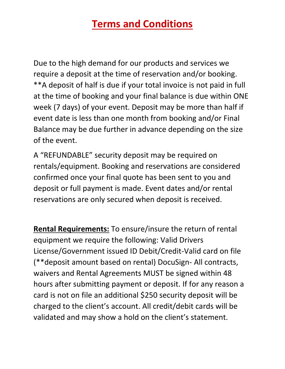Due to the high demand for our products and services we require a deposit at the time of reservation and/or booking. \*\*A deposit of half is due if your total invoice is not paid in full at the time of booking and your final balance is due within ONE week (7 days) of your event. Deposit may be more than half if event date is less than one month from booking and/or Final Balance may be due further in advance depending on the size of the event.

A "REFUNDABLE" security deposit may be required on rentals/equipment. Booking and reservations are considered confirmed once your final quote has been sent to you and deposit or full payment is made. Event dates and/or rental reservations are only secured when deposit is received.

**Rental Requirements:** To ensure/insure the return of rental equipment we require the following: Valid Drivers License/Government issued ID Debit/Credit-Valid card on file (\*\*deposit amount based on rental) DocuSign- All contracts, waivers and Rental Agreements MUST be signed within 48 hours after submitting payment or deposit. If for any reason a card is not on file an additional \$250 security deposit will be charged to the client's account. All credit/debit cards will be validated and may show a hold on the client's statement.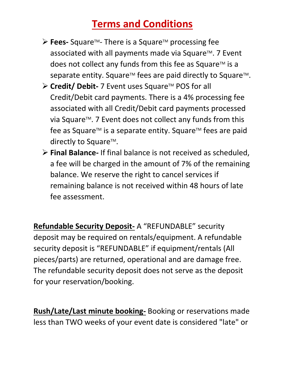- ➢ **Fees-** SquareTM- There is a SquareTM processing fee associated with all payments made via Square™. 7 Event does not collect any funds from this fee as Square<sup>TM</sup> is a separate entity. Square™ fees are paid directly to Square™.
- ➢ **Credit/ Debit-** 7 Event uses SquareTM POS for all Credit/Debit card payments. There is a 4% processing fee associated with all Credit/Debit card payments processed via Square<sup>TM</sup>. 7 Event does not collect any funds from this fee as Square™ is a separate entity. Square™ fees are paid directly to Square $TM$ .
- ➢ **Final Balance-** If final balance is not received as scheduled, a fee will be charged in the amount of 7% of the remaining balance. We reserve the right to cancel services if remaining balance is not received within 48 hours of late fee assessment.

**Refundable Security Deposit-** A "REFUNDABLE" security deposit may be required on rentals/equipment. A refundable security deposit is "REFUNDABLE" if equipment/rentals (All pieces/parts) are returned, operational and are damage free. The refundable security deposit does not serve as the deposit for your reservation/booking.

**Rush/Late/Last minute booking-** Booking or reservations made less than TWO weeks of your event date is considered "late" or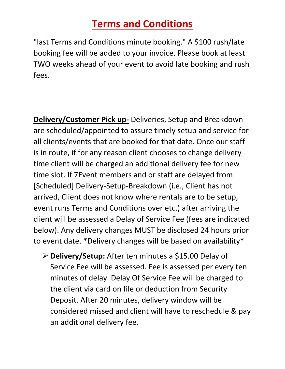"last Terms and Conditions minute booking." A \$100 rush/late booking fee will be added to your invoice. Please book at least TWO weeks ahead of your event to avoid late booking and rush fees.

**Delivery/Customer Pick up-** Deliveries, Setup and Breakdown are scheduled/appointed to assure timely setup and service for all clients/events that are booked for that date. Once our staff is in route, if for any reason client chooses to change delivery time client will be charged an additional delivery fee for new time slot. If 7Event members and or staff are delayed from [Scheduled] Delivery-Setup-Breakdown (i.e., Client has not arrived, Client does not know where rentals are to be setup, event runs Terms and Conditions over etc.) after arriving the client will be assessed a Delay of Service Fee (fees are indicated below). Any delivery changes MUST be disclosed 24 hours prior to event date. \*Delivery changes will be based on availability\*

➢ **Delivery/Setup:** After ten minutes a \$15.00 Delay of Service Fee will be assessed. Fee is assessed per every ten minutes of delay. Delay Of Service Fee will be charged to the client via card on file or deduction from Security Deposit. After 20 minutes, delivery window will be considered missed and client will have to reschedule & pay an additional delivery fee.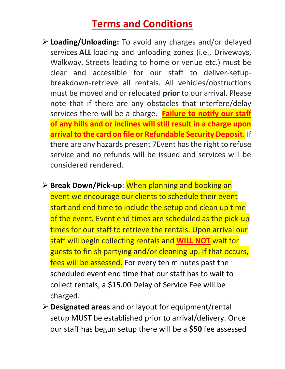- ➢ **Loading/Unloading:** To avoid any charges and/or delayed services **ALL** loading and unloading zones (i.e., Driveways, Walkway, Streets leading to home or venue etc.) must be clear and accessible for our staff to deliver-setupbreakdown-retrieve all rentals. All vehicles/obstructions must be moved and or relocated **prior** to our arrival. Please note that if there are any obstacles that interfere/delay services there will be a charge. **Failure to notify our staff of any hills and or inclines will still result in a charge upon arrival to the card on file or Refundable Security Deposit.** If there are any hazards present 7Event has the right to refuse service and no refunds will be issued and services will be considered rendered.
- ➢ **Break Down/Pick-up**: When planning and booking an event we encourage our clients to schedule their event start and end time to include the setup and clean up time of the event. Event end times are scheduled as the pick-up times for our staff to retrieve the rentals. Upon arrival our staff will begin collecting rentals and **WILL NOT** wait for guests to finish partying and/or cleaning up. If that occurs, fees will be assessed. For every ten minutes past the scheduled event end time that our staff has to wait to collect rentals, a \$15.00 Delay of Service Fee will be charged.
- ➢ **Designated areas** and or layout for equipment/rental setup MUST be established prior to arrival/delivery. Once our staff has begun setup there will be a **\$50** fee assessed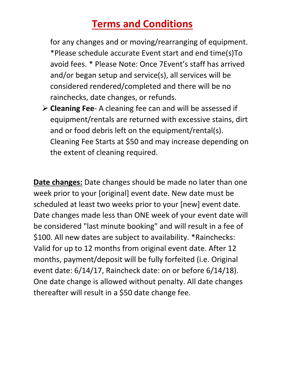for any changes and or moving/rearranging of equipment. \*Please schedule accurate Event start and end time(s)To avoid fees. \* Please Note: Once 7Event's staff has arrived and/or began setup and service(s), all services will be considered rendered/completed and there will be no rainchecks, date changes, or refunds.

➢ **Cleaning Fee**- A cleaning fee can and will be assessed if equipment/rentals are returned with excessive stains, dirt and or food debris left on the equipment/rental(s). Cleaning Fee Starts at \$50 and may increase depending on the extent of cleaning required.

**Date changes:** Date changes should be made no later than one week prior to your [original] event date. New date must be scheduled at least two weeks prior to your [new] event date. Date changes made less than ONE week of your event date will be considered "last minute booking" and will result in a fee of \$100. All new dates are subject to availability. \*Rainchecks: Valid for up to 12 months from original event date. After 12 months, payment/deposit will be fully forfeited (i.e. Original event date: 6/14/17, Raincheck date: on or before 6/14/18). One date change is allowed without penalty. All date changes thereafter will result in a \$50 date change fee.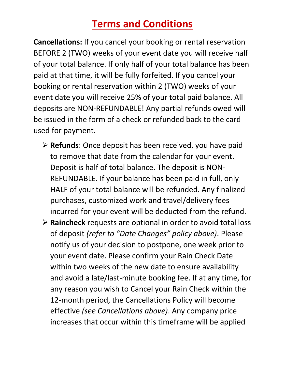**Cancellations:** If you cancel your booking or rental reservation BEFORE 2 (TWO) weeks of your event date you will receive half of your total balance. If only half of your total balance has been paid at that time, it will be fully forfeited. If you cancel your booking or rental reservation within 2 (TWO) weeks of your event date you will receive 25% of your total paid balance. All deposits are NON-REFUNDABLE! Any partial refunds owed will be issued in the form of a check or refunded back to the card used for payment.

- ➢ **Refunds**: Once deposit has been received, you have paid to remove that date from the calendar for your event. Deposit is half of total balance. The deposit is NON-REFUNDABLE. If your balance has been paid in full, only HALF of your total balance will be refunded. Any finalized purchases, customized work and travel/delivery fees incurred for your event will be deducted from the refund.
- ➢ **Raincheck** requests are optional in order to avoid total loss of deposit *(refer to "Date Changes" policy above)*. Please notify us of your decision to postpone, one week prior to your event date. Please confirm your Rain Check Date within two weeks of the new date to ensure availability and avoid a late/last-minute booking fee. If at any time, for any reason you wish to Cancel your Rain Check within the 12-month period, the Cancellations Policy will become effective *(see Cancellations above)*. Any company price increases that occur within this timeframe will be applied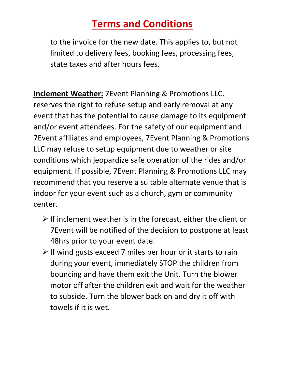to the invoice for the new date. This applies to, but not limited to delivery fees, booking fees, processing fees, state taxes and after hours fees.

**Inclement Weather:** 7Event Planning & Promotions LLC. reserves the right to refuse setup and early removal at any event that has the potential to cause damage to its equipment and/or event attendees. For the safety of our equipment and 7Event affiliates and employees, 7Event Planning & Promotions LLC may refuse to setup equipment due to weather or site conditions which jeopardize safe operation of the rides and/or equipment. If possible, 7Event Planning & Promotions LLC may recommend that you reserve a suitable alternate venue that is indoor for your event such as a church, gym or community center.

- $\triangleright$  If inclement weather is in the forecast, either the client or 7Event will be notified of the decision to postpone at least 48hrs prior to your event date.
- $\triangleright$  If wind gusts exceed 7 miles per hour or it starts to rain during your event, immediately STOP the children from bouncing and have them exit the Unit. Turn the blower motor off after the children exit and wait for the weather to subside. Turn the blower back on and dry it off with towels if it is wet.